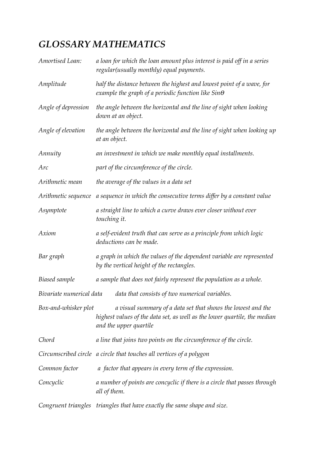## *GLOSSARY MATHEMATICS*

| Amortised Loan:          | a loan for which the loan amount plus interest is paid off in a series<br>regular(usually monthly) equal payments.                                                  |
|--------------------------|---------------------------------------------------------------------------------------------------------------------------------------------------------------------|
| Amplitude                | half the distance between the highest and lowest point of a wave, for<br>example the graph of a periodic function like $\sin\theta$                                 |
| Angle of depression      | the angle between the horizontal and the line of sight when looking<br>down at an object.                                                                           |
| Angle of elevation       | the angle between the horizontal and the line of sight when looking up<br>at an object.                                                                             |
| Annuity                  | an investment in which we make monthly equal installments.                                                                                                          |
| Arc                      | part of the circumference of the circle.                                                                                                                            |
| Arithmetic mean          | the average of the values in a data set                                                                                                                             |
| Arithmetic sequence      | a sequence in which the consecutive terms differ by a constant value                                                                                                |
| Asymptote                | a straight line to which a curve draws ever closer without ever<br>touching it.                                                                                     |
| Axiom                    | a self-evident truth that can serve as a principle from which logic<br>deductions can be made.                                                                      |
| Bar graph                | a graph in which the values of the dependent variable are represented<br>by the vertical height of the rectangles.                                                  |
| Biased sample            | a sample that does not fairly represent the population as a whole.                                                                                                  |
| Bivariate numerical data | data that consists of two numerical variables.                                                                                                                      |
| Box-and-whisker plot     | a visual summary of a data set that shows the lowest and the<br>highest values of the data set, as well as the lower quartile, the median<br>and the upper quartile |
| Chord                    | a line that joins two points on the circumference of the circle.                                                                                                    |
|                          | Circumscribed circle a circle that touches all vertices of a polygon                                                                                                |
| Common factor            | a factor that appears in every term of the expression.                                                                                                              |
| Concyclic                | a number of points are concyclic if there is a circle that passes through<br>all of them.                                                                           |
|                          | Congruent triangles triangles that have exactly the same shape and size.                                                                                            |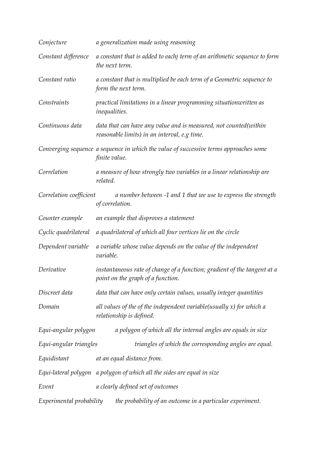| Conjecture               | a generalization made using reasoning                                                                            |
|--------------------------|------------------------------------------------------------------------------------------------------------------|
| Constant difference      | a constant that is added to eachj term of an arithmetic sequence to form<br>the next term.                       |
| Constant ratio           | a constant that is multiplied be each term of a Geometric sequence to<br>form the next term.                     |
| Constraints              | practical limitations in a linear programming situationwritten as<br><i>inequalities.</i>                        |
| Continuous data          | data that can have any value and is measured, not counted(within<br>reasonable limits) in an interval, e.g time. |
|                          | Converging sequence a sequence in which the value of successive terms approaches some<br>finite value.           |
| Correlation              | a measure of how strongly two variables in a linear relationship are<br>related.                                 |
| Correlation coefficient  | a number between -1 and 1 that we use to express the strength<br>of correlation.                                 |
| Counter example          | an example that disproves a statement                                                                            |
| Cyclic quadrilateral     | a quadrilateral of which all four vertices lie on the circle                                                     |
| Dependent variable       | a variable whose value depends on the value of the independent<br>variable.                                      |
| Derivative               | instantaneous rate of change of a function; gradient of the tangent at a<br>point on the graph of a function.    |
| Discreet data            | data that can have only certain values, usually integer quantities                                               |
| Domain                   | all values of the of the independent variable (usually $x$ ) for which a<br>relationship is defined.             |
| Equi-angular polygon     | a polygon of which all the internal angles are equals in size                                                    |
| Equi-angular triangles   | triangles of which the corresponding angles are equal.                                                           |
| Equidistant              | at an equal distance from.                                                                                       |
|                          | Equi-lateral polygon a polygon of which all the sides are equal in size                                          |
| Event                    | a clearly defined set of outcomes                                                                                |
| Experimental probability | the probability of an outcome in a particular experiment.                                                        |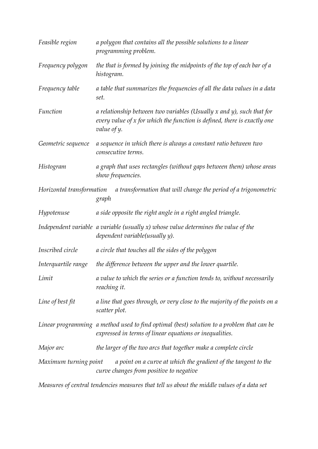| Feasible region           | a polygon that contains all the possible solutions to a linear<br>programming problem.                                                                                |
|---------------------------|-----------------------------------------------------------------------------------------------------------------------------------------------------------------------|
| Frequency polygon         | the that is formed by joining the midpoints of the top of each bar of a<br>histogram.                                                                                 |
| Frequency table           | a table that summarizes the frequencies of all the data values in a data<br>set.                                                                                      |
| Function                  | a relationship between two variables (Usually $x$ and $y$ ), such that for<br>every value of x for which the function is defined, there is exactly one<br>value of y. |
| Geometric sequence        | a sequence in which there is always a constant ratio between two<br>consecutive terms.                                                                                |
| Histogram                 | a graph that uses rectangles (without gaps between them) whose areas<br>show frequencies.                                                                             |
| Horizontal transformation | a transformation that will change the period of a trigonometric<br>graph                                                                                              |
| Hypotenuse                | a side opposite the right angle in a right angled triangle.                                                                                                           |
|                           | Independent variable $\alpha$ variable (usually $x$ ) whose value determines the value of the<br>dependent variable(usually y).                                       |
| Inscribed circle          | a circle that touches all the sides of the polygon                                                                                                                    |
| Interquartile range       | the difference between the upper and the lower quartile.                                                                                                              |
| Limit                     | a value to which the series or a function tends to, without necessarily<br>reaching it.                                                                               |
| Line of best fit          | a line that goes through, or very close to the majority of the points on a<br>scatter plot.                                                                           |
|                           | Linear programming a method used to find optimal (best) solution to a problem that can be<br>expressed in terms of linear equations or inequalities.                  |
| Major arc                 | the larger of the two arcs that together make a complete circle                                                                                                       |
| Maximum turning point     | a point on a curve at which the gradient of the tangent to the<br>curve changes from positive to negative                                                             |

*Measures of central tendencies measures that tell us about the middle values of a data set*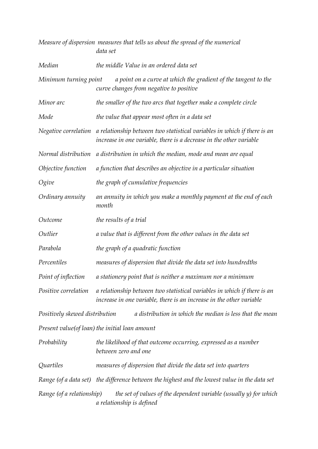|                                | Measure of dispersion measures that tells us about the spread of the numerical<br>data set                                                       |
|--------------------------------|--------------------------------------------------------------------------------------------------------------------------------------------------|
| Median                         | the middle Value in an ordered data set                                                                                                          |
| Minimum turning point          | a point on a curve at which the gradient of the tangent to the<br>curve changes from negative to positive                                        |
| Minor arc                      | the smaller of the two arcs that together make a complete circle                                                                                 |
| Mode                           | the value that appear most often in a data set                                                                                                   |
| Negative correlation           | a relationship between two statistical variables in which if there is an<br>increase in one variable, there is a decrease in the other variable  |
| Normal distribution            | a distribution in which the median, mode and mean are equal                                                                                      |
| Objective function             | a function that describes an objective in a particular situation                                                                                 |
| Ogive                          | the graph of cumulative frequencies                                                                                                              |
| Ordinary annuity               | an annuity in which you make a monthly payment at the end of each<br>month                                                                       |
| Outcome                        | the results of a trial                                                                                                                           |
| Outlier                        | a value that is different from the other values in the data set                                                                                  |
| Parabola                       | the graph of a quadratic function                                                                                                                |
| Percentiles                    | measures of dispersion that divide the data set into hundredths                                                                                  |
| Point of inflection            | a stationery point that is neither a maximum nor a minimum                                                                                       |
| Positive correlation           | a relationship between two statistical variables in which if there is an<br>increase in one variable, there is an increase in the other variable |
| Positively skewed distribution | a distribution in which the median is less that the mean                                                                                         |
|                                | Present value(of loan) the initial loan amount                                                                                                   |
| Probability                    | the likelihood of that outcome occurring, expressed as a number<br>between zero and one                                                          |
| Quartiles                      | measures of dispersion that divide the data set into quarters                                                                                    |
|                                | Range (of a data set) the difference between the highest and the lowest value in the data set                                                    |
| Range (of a relationship)      | the set of values of the dependent variable (usually y) for which<br>a relationship is defined                                                   |